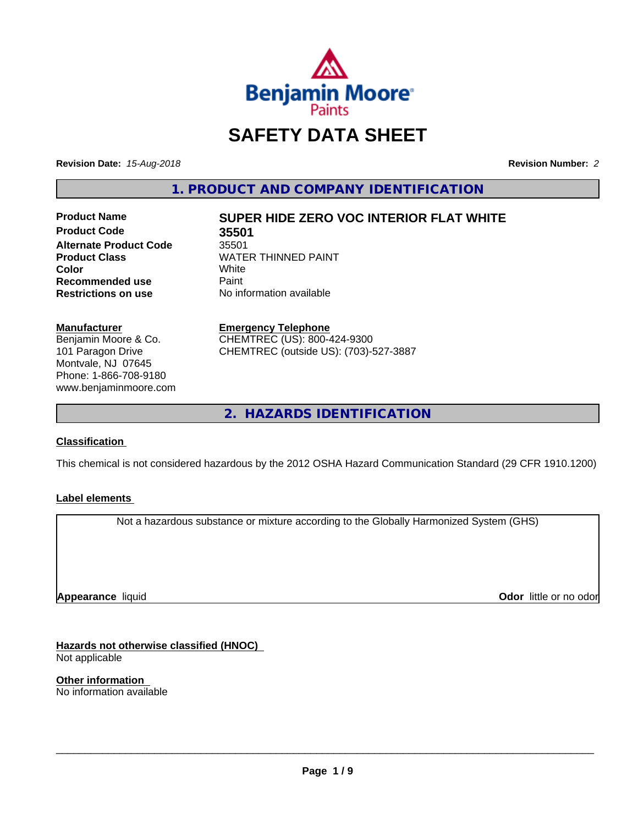

## **SAFETY DATA SHEET**

**Revision Date:** *15-Aug-2018* **Revision Number:** *2*

**1. PRODUCT AND COMPANY IDENTIFICATION**

**Product Code 35501<br>Alternate Product Code** 35501 **Alternate Product Code**<br>Product Class **Recommended use** Paint<br> **Restrictions on use** No inf

# **Product Name SUPER HIDE ZERO VOC INTERIOR FLAT WHITE**

**WATER THINNED PAINT**<br>White **Color** White White **No information available** 

**Manufacturer** Benjamin Moore & Co. 101 Paragon Drive Montvale, NJ 07645 Phone: 1-866-708-9180 www.benjaminmoore.com

#### **Emergency Telephone**

CHEMTREC (US): 800-424-9300 CHEMTREC (outside US): (703)-527-3887

**2. HAZARDS IDENTIFICATION**

## **Classification**

This chemical is not considered hazardous by the 2012 OSHA Hazard Communication Standard (29 CFR 1910.1200)

#### **Label elements**

Not a hazardous substance or mixture according to the Globally Harmonized System (GHS)

**Appearance** liquid

**Odor** little or no odor

**Hazards not otherwise classified (HNOC)** Not applicable

**Other information** No information available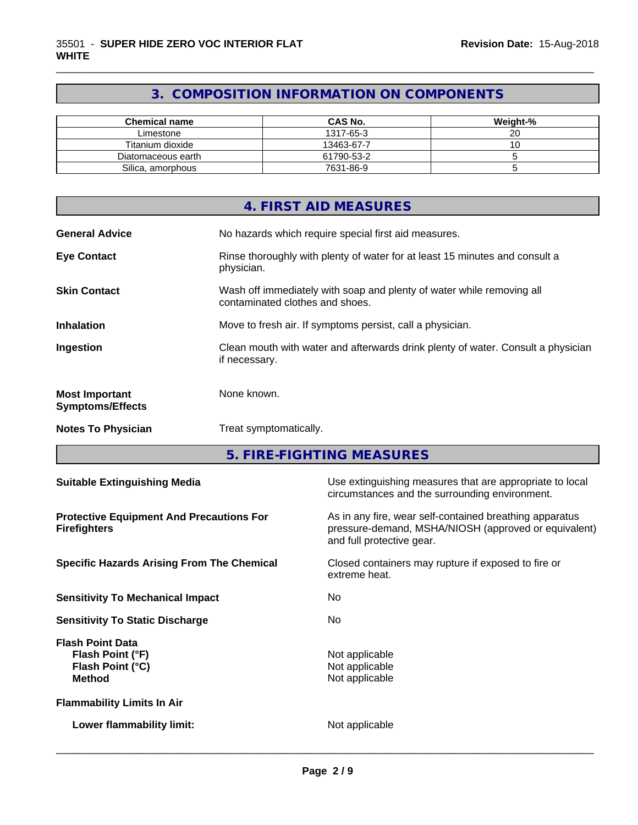## **3. COMPOSITION INFORMATION ON COMPONENTS**

\_\_\_\_\_\_\_\_\_\_\_\_\_\_\_\_\_\_\_\_\_\_\_\_\_\_\_\_\_\_\_\_\_\_\_\_\_\_\_\_\_\_\_\_\_\_\_\_\_\_\_\_\_\_\_\_\_\_\_\_\_\_\_\_\_\_\_\_\_\_\_\_\_\_\_\_\_\_\_\_\_\_\_\_\_\_\_\_\_\_\_\_\_

| <b>Chemical name</b> | <b>CAS No.</b> | Weight-% |
|----------------------|----------------|----------|
| Limestone            | 1317-65-3      |          |
| Titanium dioxide     | 13463-67-7     |          |
| Diatomaceous earth   | 61790-53-2     |          |
| Silica, amorphous    | 7631-86-9      |          |

|                                                  | 4. FIRST AID MEASURES                                                                                    |
|--------------------------------------------------|----------------------------------------------------------------------------------------------------------|
| <b>General Advice</b>                            | No hazards which require special first aid measures.                                                     |
| <b>Eye Contact</b>                               | Rinse thoroughly with plenty of water for at least 15 minutes and consult a<br>physician.                |
| <b>Skin Contact</b>                              | Wash off immediately with soap and plenty of water while removing all<br>contaminated clothes and shoes. |
| <b>Inhalation</b>                                | Move to fresh air. If symptoms persist, call a physician.                                                |
| Ingestion                                        | Clean mouth with water and afterwards drink plenty of water. Consult a physician<br>if necessary.        |
| <b>Most Important</b><br><b>Symptoms/Effects</b> | None known.                                                                                              |
| <b>Notes To Physician</b>                        | Treat symptomatically.                                                                                   |

**5. FIRE-FIGHTING MEASURES**

| <b>Suitable Extinguishing Media</b>                                              | Use extinguishing measures that are appropriate to local<br>circumstances and the surrounding environment.                                   |
|----------------------------------------------------------------------------------|----------------------------------------------------------------------------------------------------------------------------------------------|
| <b>Protective Equipment And Precautions For</b><br><b>Firefighters</b>           | As in any fire, wear self-contained breathing apparatus<br>pressure-demand, MSHA/NIOSH (approved or equivalent)<br>and full protective gear. |
| <b>Specific Hazards Arising From The Chemical</b>                                | Closed containers may rupture if exposed to fire or<br>extreme heat.                                                                         |
| <b>Sensitivity To Mechanical Impact</b>                                          | No.                                                                                                                                          |
| <b>Sensitivity To Static Discharge</b>                                           | No.                                                                                                                                          |
| <b>Flash Point Data</b><br>Flash Point (°F)<br>Flash Point (°C)<br><b>Method</b> | Not applicable<br>Not applicable<br>Not applicable                                                                                           |
| <b>Flammability Limits In Air</b>                                                |                                                                                                                                              |
| Lower flammability limit:                                                        | Not applicable                                                                                                                               |
|                                                                                  |                                                                                                                                              |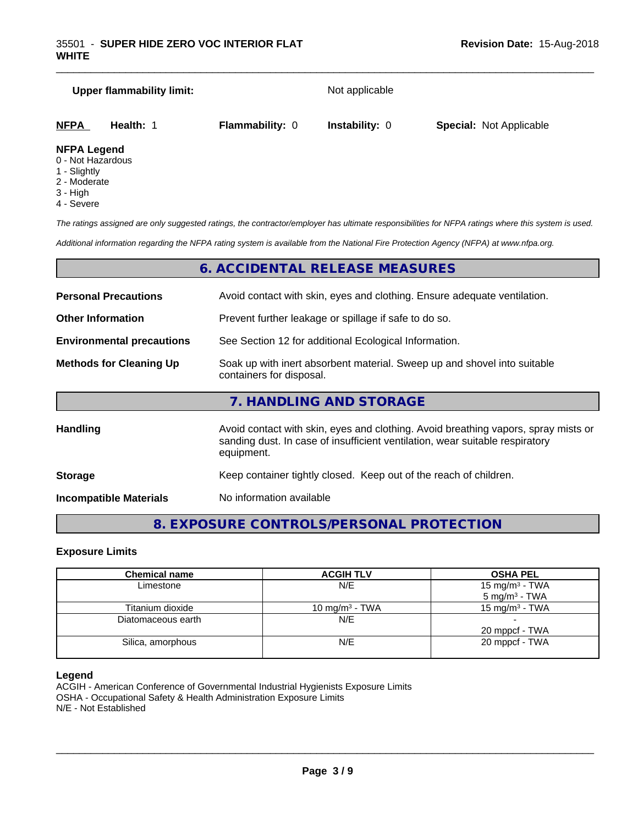# **Upper flammability limit:** Not applicable **NFPA Health:** 1 **Flammability:** 0 **Instability:** 0 **Special:** Not Applicable

\_\_\_\_\_\_\_\_\_\_\_\_\_\_\_\_\_\_\_\_\_\_\_\_\_\_\_\_\_\_\_\_\_\_\_\_\_\_\_\_\_\_\_\_\_\_\_\_\_\_\_\_\_\_\_\_\_\_\_\_\_\_\_\_\_\_\_\_\_\_\_\_\_\_\_\_\_\_\_\_\_\_\_\_\_\_\_\_\_\_\_\_\_

#### **NFPA Legend**

- 0 Not Hazardous
- 1 Slightly
- 2 Moderate
- 3 High
- 4 Severe

*The ratings assigned are only suggested ratings, the contractor/employer has ultimate responsibilities for NFPA ratings where this system is used.*

*Additional information regarding the NFPA rating system is available from the National Fire Protection Agency (NFPA) at www.nfpa.org.*

## **6. ACCIDENTAL RELEASE MEASURES**

| <b>Personal Precautions</b>      | Avoid contact with skin, eyes and clothing. Ensure adequate ventilation.                                                                                                         |
|----------------------------------|----------------------------------------------------------------------------------------------------------------------------------------------------------------------------------|
| <b>Other Information</b>         | Prevent further leakage or spillage if safe to do so.                                                                                                                            |
| <b>Environmental precautions</b> | See Section 12 for additional Ecological Information.                                                                                                                            |
| <b>Methods for Cleaning Up</b>   | Soak up with inert absorbent material. Sweep up and shovel into suitable<br>containers for disposal.                                                                             |
|                                  | 7. HANDLING AND STORAGE                                                                                                                                                          |
| <b>Handling</b>                  | Avoid contact with skin, eyes and clothing. Avoid breathing vapors, spray mists or<br>sanding dust. In case of insufficient ventilation, wear suitable respiratory<br>equipment. |
| <b>Storage</b>                   | Keep container tightly closed. Keep out of the reach of children.                                                                                                                |
|                                  |                                                                                                                                                                                  |

**Incompatible Materials** No information available

## **8. EXPOSURE CONTROLS/PERSONAL PROTECTION**

#### **Exposure Limits**

| <b>Chemical name</b> | <b>ACGIH TLV</b>  | <b>OSHA PEL</b>                                |
|----------------------|-------------------|------------------------------------------------|
| Limestone            | N/E               | 15 mg/m $3$ - TWA<br>5 mg/m <sup>3</sup> - TWA |
| Titanium dioxide     | 10 mg/m $3$ - TWA | 15 mg/m $3$ - TWA                              |
| Diatomaceous earth   | N/E               |                                                |
|                      |                   | 20 mppcf - TWA                                 |
| Silica, amorphous    | N/E               | 20 mppcf - TWA                                 |
|                      |                   |                                                |

#### **Legend**

ACGIH - American Conference of Governmental Industrial Hygienists Exposure Limits OSHA - Occupational Safety & Health Administration Exposure Limits N/E - Not Established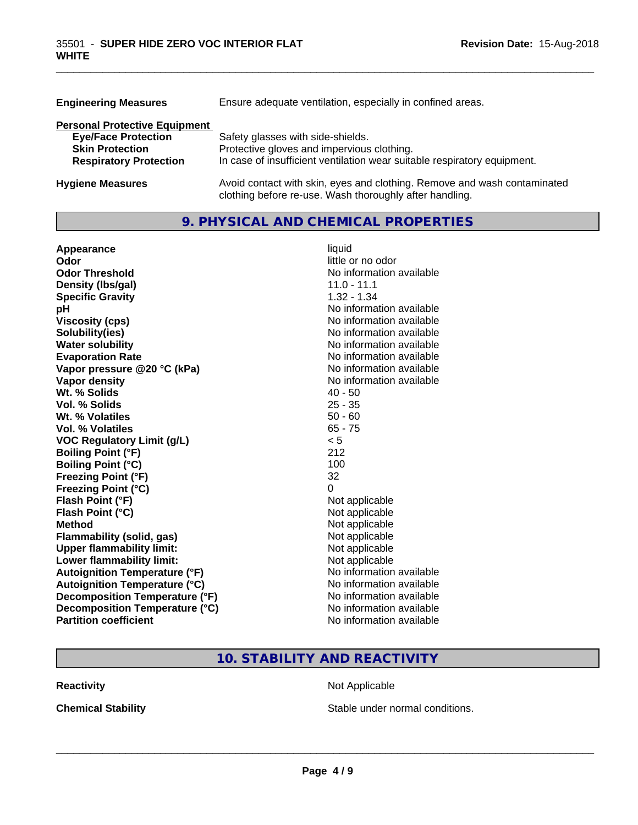| <b>Engineering Measures</b>          | Ensure adequate ventilation, especially in confined areas.                                                                          |  |
|--------------------------------------|-------------------------------------------------------------------------------------------------------------------------------------|--|
| <b>Personal Protective Equipment</b> |                                                                                                                                     |  |
| <b>Eye/Face Protection</b>           | Safety glasses with side-shields.                                                                                                   |  |
| <b>Skin Protection</b>               | Protective gloves and impervious clothing.                                                                                          |  |
| <b>Respiratory Protection</b>        | In case of insufficient ventilation wear suitable respiratory equipment.                                                            |  |
| <b>Hygiene Measures</b>              | Avoid contact with skin, eyes and clothing. Remove and wash contaminated<br>clothing before re-use. Wash thoroughly after handling. |  |

\_\_\_\_\_\_\_\_\_\_\_\_\_\_\_\_\_\_\_\_\_\_\_\_\_\_\_\_\_\_\_\_\_\_\_\_\_\_\_\_\_\_\_\_\_\_\_\_\_\_\_\_\_\_\_\_\_\_\_\_\_\_\_\_\_\_\_\_\_\_\_\_\_\_\_\_\_\_\_\_\_\_\_\_\_\_\_\_\_\_\_\_\_

## **9. PHYSICAL AND CHEMICAL PROPERTIES**

| Appearance                           | liquid                   |
|--------------------------------------|--------------------------|
| Odor                                 | little or no odor        |
| <b>Odor Threshold</b>                | No information available |
| Density (Ibs/gal)                    | $11.0 - 11.1$            |
| <b>Specific Gravity</b>              | $1.32 - 1.34$            |
| рH                                   | No information available |
| <b>Viscosity (cps)</b>               | No information available |
| Solubility(ies)                      | No information available |
| <b>Water solubility</b>              | No information available |
| <b>Evaporation Rate</b>              | No information available |
| Vapor pressure @20 °C (kPa)          | No information available |
| Vapor density                        | No information available |
| Wt. % Solids                         | $40 - 50$                |
| Vol. % Solids                        | $25 - 35$                |
| Wt. % Volatiles                      | $50 - 60$                |
| <b>Vol. % Volatiles</b>              | $65 - 75$                |
| <b>VOC Regulatory Limit (g/L)</b>    | < 5                      |
| <b>Boiling Point (°F)</b>            | 212                      |
| <b>Boiling Point (°C)</b>            | 100                      |
| <b>Freezing Point (°F)</b>           | 32                       |
| <b>Freezing Point (°C)</b>           | 0                        |
| Flash Point (°F)                     | Not applicable           |
| Flash Point (°C)                     | Not applicable           |
| <b>Method</b>                        | Not applicable           |
| <b>Flammability (solid, gas)</b>     | Not applicable           |
| <b>Upper flammability limit:</b>     | Not applicable           |
| Lower flammability limit:            | Not applicable           |
| <b>Autoignition Temperature (°F)</b> | No information available |
| <b>Autoignition Temperature (°C)</b> | No information available |
| Decomposition Temperature (°F)       | No information available |
| Decomposition Temperature (°C)       | No information available |
| <b>Partition coefficient</b>         | No information available |

## **10. STABILITY AND REACTIVITY**

**Reactivity Not Applicable** Not Applicable

**Chemical Stability Chemical Stability** Stable under normal conditions.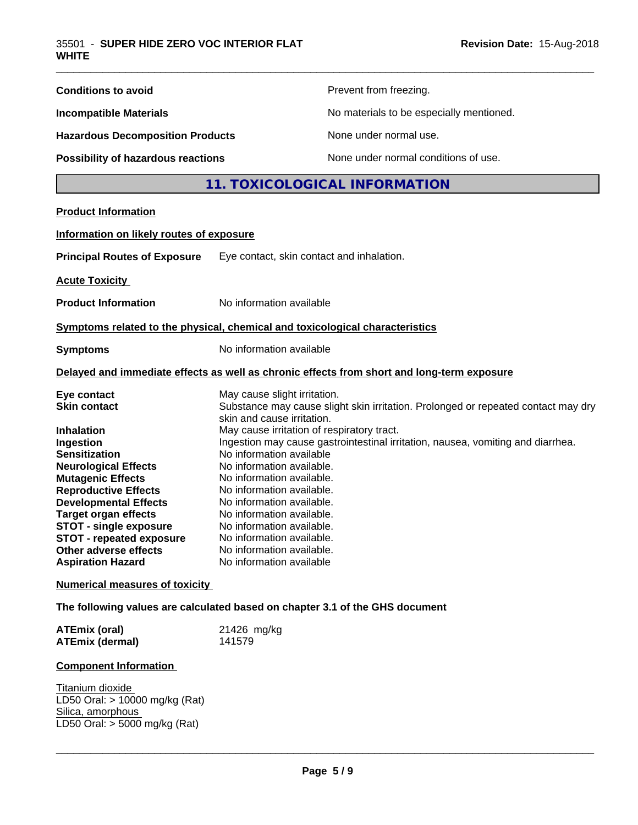| <b>Conditions to avoid</b>                                                                                                                                                                                                                                                                                                                                              | Prevent from freezing.                                                                                                                                                                                                                                                                                                                                                                                                                                                                                                                                                           |  |
|-------------------------------------------------------------------------------------------------------------------------------------------------------------------------------------------------------------------------------------------------------------------------------------------------------------------------------------------------------------------------|----------------------------------------------------------------------------------------------------------------------------------------------------------------------------------------------------------------------------------------------------------------------------------------------------------------------------------------------------------------------------------------------------------------------------------------------------------------------------------------------------------------------------------------------------------------------------------|--|
| <b>Incompatible Materials</b>                                                                                                                                                                                                                                                                                                                                           | No materials to be especially mentioned.                                                                                                                                                                                                                                                                                                                                                                                                                                                                                                                                         |  |
| <b>Hazardous Decomposition Products</b>                                                                                                                                                                                                                                                                                                                                 | None under normal use.                                                                                                                                                                                                                                                                                                                                                                                                                                                                                                                                                           |  |
| <b>Possibility of hazardous reactions</b>                                                                                                                                                                                                                                                                                                                               | None under normal conditions of use.                                                                                                                                                                                                                                                                                                                                                                                                                                                                                                                                             |  |
|                                                                                                                                                                                                                                                                                                                                                                         | 11. TOXICOLOGICAL INFORMATION                                                                                                                                                                                                                                                                                                                                                                                                                                                                                                                                                    |  |
| <b>Product Information</b>                                                                                                                                                                                                                                                                                                                                              |                                                                                                                                                                                                                                                                                                                                                                                                                                                                                                                                                                                  |  |
| Information on likely routes of exposure                                                                                                                                                                                                                                                                                                                                |                                                                                                                                                                                                                                                                                                                                                                                                                                                                                                                                                                                  |  |
| <b>Principal Routes of Exposure</b>                                                                                                                                                                                                                                                                                                                                     | Eye contact, skin contact and inhalation.                                                                                                                                                                                                                                                                                                                                                                                                                                                                                                                                        |  |
| <b>Acute Toxicity</b>                                                                                                                                                                                                                                                                                                                                                   |                                                                                                                                                                                                                                                                                                                                                                                                                                                                                                                                                                                  |  |
| <b>Product Information</b>                                                                                                                                                                                                                                                                                                                                              | No information available                                                                                                                                                                                                                                                                                                                                                                                                                                                                                                                                                         |  |
|                                                                                                                                                                                                                                                                                                                                                                         | Symptoms related to the physical, chemical and toxicological characteristics                                                                                                                                                                                                                                                                                                                                                                                                                                                                                                     |  |
| <b>Symptoms</b>                                                                                                                                                                                                                                                                                                                                                         | No information available                                                                                                                                                                                                                                                                                                                                                                                                                                                                                                                                                         |  |
|                                                                                                                                                                                                                                                                                                                                                                         | Delayed and immediate effects as well as chronic effects from short and long-term exposure                                                                                                                                                                                                                                                                                                                                                                                                                                                                                       |  |
| Eye contact<br><b>Skin contact</b><br>Inhalation<br>Ingestion<br><b>Sensitization</b><br><b>Neurological Effects</b><br><b>Mutagenic Effects</b><br><b>Reproductive Effects</b><br><b>Developmental Effects</b><br><b>Target organ effects</b><br><b>STOT - single exposure</b><br><b>STOT - repeated exposure</b><br>Other adverse effects<br><b>Aspiration Hazard</b> | May cause slight irritation.<br>Substance may cause slight skin irritation. Prolonged or repeated contact may dry<br>skin and cause irritation.<br>May cause irritation of respiratory tract.<br>Ingestion may cause gastrointestinal irritation, nausea, vomiting and diarrhea.<br>No information available<br>No information available.<br>No information available.<br>No information available.<br>No information available.<br>No information available.<br>No information available.<br>No information available.<br>No information available.<br>No information available |  |
| <b>Numerical measures of toxicity</b>                                                                                                                                                                                                                                                                                                                                   |                                                                                                                                                                                                                                                                                                                                                                                                                                                                                                                                                                                  |  |
|                                                                                                                                                                                                                                                                                                                                                                         | The following values are calculated based on chapter 3.1 of the GHS document                                                                                                                                                                                                                                                                                                                                                                                                                                                                                                     |  |
| <b>ATEmix (oral)</b><br><b>ATEmix (dermal)</b>                                                                                                                                                                                                                                                                                                                          | 21426 mg/kg<br>141579                                                                                                                                                                                                                                                                                                                                                                                                                                                                                                                                                            |  |
| <b>Component Information</b>                                                                                                                                                                                                                                                                                                                                            |                                                                                                                                                                                                                                                                                                                                                                                                                                                                                                                                                                                  |  |
| Titanium dioxide<br>LD50 Oral: > 10000 mg/kg (Rat)<br>Silica, amorphous<br>LD50 Oral: > 5000 mg/kg (Rat)                                                                                                                                                                                                                                                                |                                                                                                                                                                                                                                                                                                                                                                                                                                                                                                                                                                                  |  |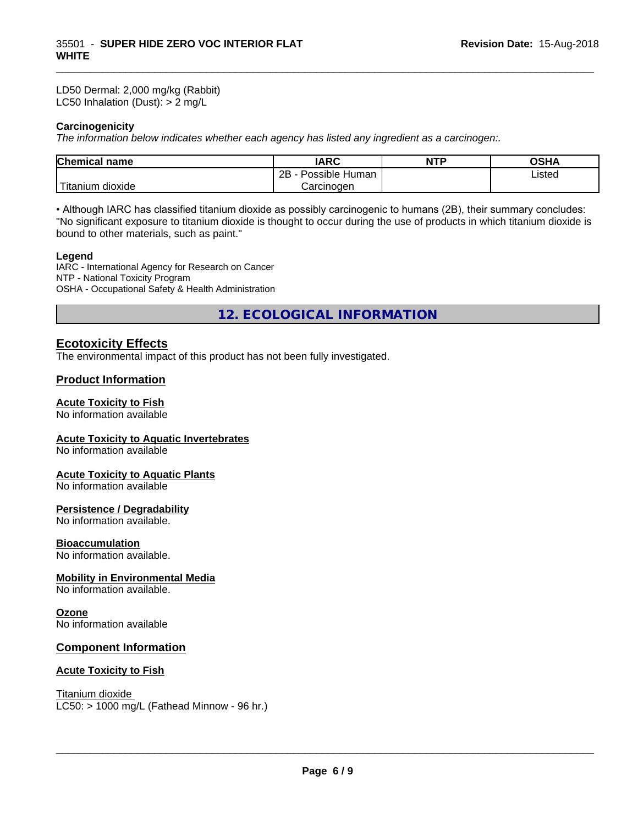LD50 Dermal: 2,000 mg/kg (Rabbit) LC50 Inhalation (Dust): > 2 mg/L

#### **Carcinogenicity**

*The information below indicateswhether each agency has listed any ingredient as a carcinogen:.*

| <b>Chemical</b><br>name          | <b>IARC</b>                    | NTP | ດຂ⊔ ∧<br>JJNA |  |
|----------------------------------|--------------------------------|-----|---------------|--|
|                                  | .<br>2B<br>Possible<br>: Human |     | ∟isted        |  |
| .<br>. dioxide<br><b>itanium</b> | Carcinogen                     |     |               |  |

\_\_\_\_\_\_\_\_\_\_\_\_\_\_\_\_\_\_\_\_\_\_\_\_\_\_\_\_\_\_\_\_\_\_\_\_\_\_\_\_\_\_\_\_\_\_\_\_\_\_\_\_\_\_\_\_\_\_\_\_\_\_\_\_\_\_\_\_\_\_\_\_\_\_\_\_\_\_\_\_\_\_\_\_\_\_\_\_\_\_\_\_\_

• Although IARC has classified titanium dioxide as possibly carcinogenic to humans (2B), their summary concludes: "No significant exposure to titanium dioxide is thought to occur during the use of products in which titanium dioxide is bound to other materials, such as paint."

#### **Legend**

IARC - International Agency for Research on Cancer NTP - National Toxicity Program OSHA - Occupational Safety & Health Administration

**12. ECOLOGICAL INFORMATION**

## **Ecotoxicity Effects**

The environmental impact of this product has not been fully investigated.

#### **Product Information**

#### **Acute Toxicity to Fish**

No information available

#### **Acute Toxicity to Aquatic Invertebrates**

No information available

#### **Acute Toxicity to Aquatic Plants**

No information available

#### **Persistence / Degradability**

No information available.

#### **Bioaccumulation**

No information available.

#### **Mobility in Environmental Media**

No information available.

#### **Ozone**

No information available

#### **Component Information**

#### **Acute Toxicity to Fish**

Titanium dioxide

 $LC50:$  > 1000 mg/L (Fathead Minnow - 96 hr.)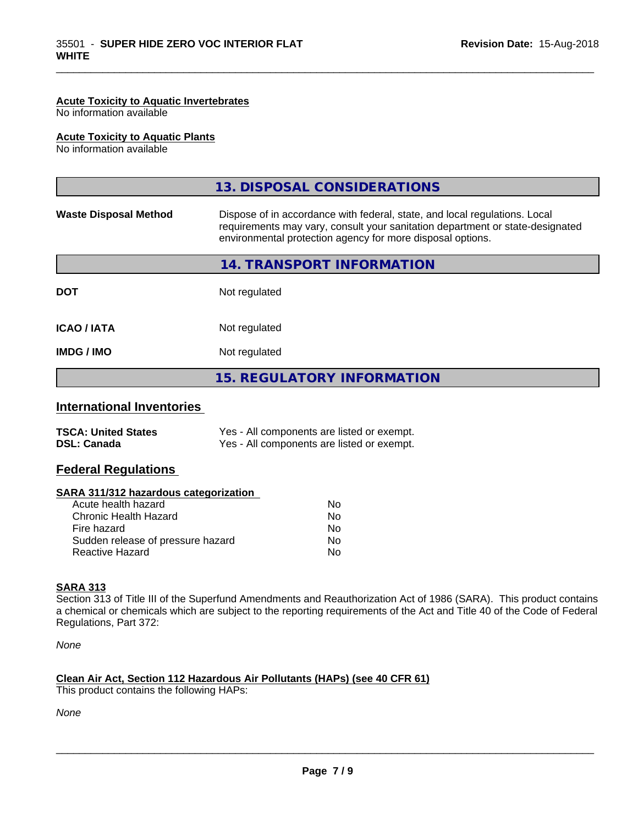#### **Acute Toxicity to Aquatic Invertebrates**

No information available

#### **Acute Toxicity to Aquatic Plants**

No information available

|                              | 13. DISPOSAL CONSIDERATIONS                                                                                                                                                                                               |
|------------------------------|---------------------------------------------------------------------------------------------------------------------------------------------------------------------------------------------------------------------------|
| <b>Waste Disposal Method</b> | Dispose of in accordance with federal, state, and local regulations. Local<br>requirements may vary, consult your sanitation department or state-designated<br>environmental protection agency for more disposal options. |
|                              | 14. TRANSPORT INFORMATION                                                                                                                                                                                                 |
| <b>DOT</b>                   | Not regulated                                                                                                                                                                                                             |
| <b>ICAO / IATA</b>           | Not regulated                                                                                                                                                                                                             |
| <b>IMDG / IMO</b>            | Not regulated                                                                                                                                                                                                             |
|                              | <b>15. REGULATORY INFORMATION</b>                                                                                                                                                                                         |

\_\_\_\_\_\_\_\_\_\_\_\_\_\_\_\_\_\_\_\_\_\_\_\_\_\_\_\_\_\_\_\_\_\_\_\_\_\_\_\_\_\_\_\_\_\_\_\_\_\_\_\_\_\_\_\_\_\_\_\_\_\_\_\_\_\_\_\_\_\_\_\_\_\_\_\_\_\_\_\_\_\_\_\_\_\_\_\_\_\_\_\_\_

#### **International Inventories**

| <b>TSCA: United States</b> | Yes - All components are listed or exempt. |
|----------------------------|--------------------------------------------|
| <b>DSL: Canada</b>         | Yes - All components are listed or exempt. |

#### **Federal Regulations**

| SARA 311/312 hazardous categorization |  |
|---------------------------------------|--|
|---------------------------------------|--|

| Acute health hazard               | No. |
|-----------------------------------|-----|
| Chronic Health Hazard             | Nο  |
| Fire hazard                       | N٥  |
| Sudden release of pressure hazard | Nο  |
| Reactive Hazard                   | N٥  |

#### **SARA 313**

Section 313 of Title III of the Superfund Amendments and Reauthorization Act of 1986 (SARA). This product contains a chemical or chemicals which are subject to the reporting requirements of the Act and Title 40 of the Code of Federal Regulations, Part 372:

*None*

## **Clean Air Act,Section 112 Hazardous Air Pollutants (HAPs) (see 40 CFR 61)**

This product contains the following HAPs:

*None*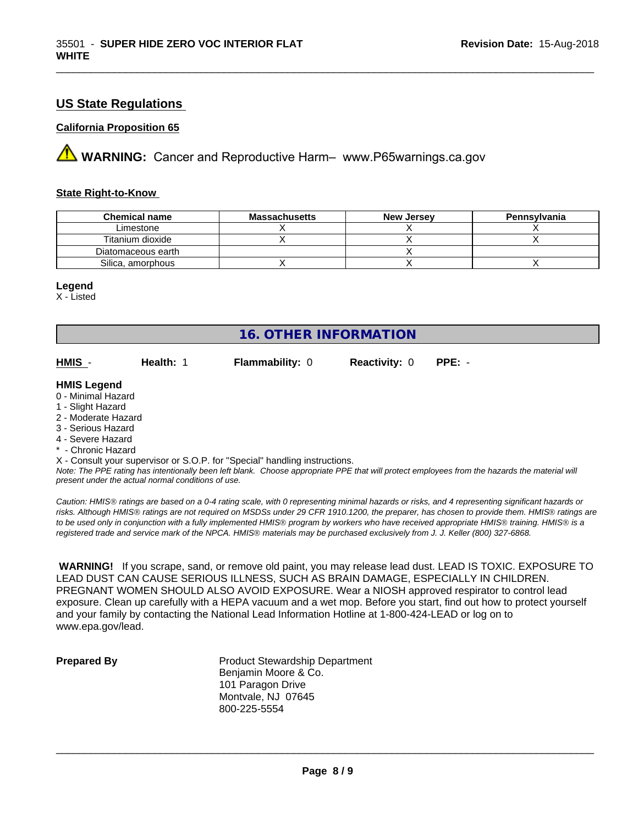### **US State Regulations**

#### **California Proposition 65**

**A** WARNING: Cancer and Reproductive Harm– www.P65warnings.ca.gov

#### **State Right-to-Know**

| <b>Chemical name</b> | <b>Massachusetts</b> | <b>New Jersey</b> | Pennsylvania |
|----------------------|----------------------|-------------------|--------------|
| ∟imestone            |                      |                   |              |
| Titanium dioxide     |                      |                   |              |
| Diatomaceous earth   |                      |                   |              |
| Silica, amorphous    |                      |                   |              |

\_\_\_\_\_\_\_\_\_\_\_\_\_\_\_\_\_\_\_\_\_\_\_\_\_\_\_\_\_\_\_\_\_\_\_\_\_\_\_\_\_\_\_\_\_\_\_\_\_\_\_\_\_\_\_\_\_\_\_\_\_\_\_\_\_\_\_\_\_\_\_\_\_\_\_\_\_\_\_\_\_\_\_\_\_\_\_\_\_\_\_\_\_

#### **Legend**

X - Listed

# **16. OTHER INFORMATION HMIS** - **Health:** 1 **Flammability:** 0 **Reactivity:** 0 **PPE:** - **HMIS Legend**

- 0 Minimal Hazard
- 1 Slight Hazard
- 2 Moderate Hazard
- 3 Serious Hazard
- 4 Severe Hazard
- \* Chronic Hazard

X - Consult your supervisor or S.O.P. for "Special" handling instructions.

*Note: The PPE rating has intentionally been left blank. Choose appropriate PPE that will protect employees from the hazards the material will present under the actual normal conditions of use.*

*Caution: HMISÒ ratings are based on a 0-4 rating scale, with 0 representing minimal hazards or risks, and 4 representing significant hazards or risks. Although HMISÒ ratings are not required on MSDSs under 29 CFR 1910.1200, the preparer, has chosen to provide them. HMISÒ ratings are to be used only in conjunction with a fully implemented HMISÒ program by workers who have received appropriate HMISÒ training. HMISÒ is a registered trade and service mark of the NPCA. HMISÒ materials may be purchased exclusively from J. J. Keller (800) 327-6868.*

 **WARNING!** If you scrape, sand, or remove old paint, you may release lead dust. LEAD IS TOXIC. EXPOSURE TO LEAD DUST CAN CAUSE SERIOUS ILLNESS, SUCH AS BRAIN DAMAGE, ESPECIALLY IN CHILDREN. PREGNANT WOMEN SHOULD ALSO AVOID EXPOSURE.Wear a NIOSH approved respirator to control lead exposure. Clean up carefully with a HEPA vacuum and a wet mop. Before you start, find out how to protect yourself and your family by contacting the National Lead Information Hotline at 1-800-424-LEAD or log on to www.epa.gov/lead.

**Prepared By** Product Stewardship Department Benjamin Moore & Co. 101 Paragon Drive Montvale, NJ 07645 800-225-5554